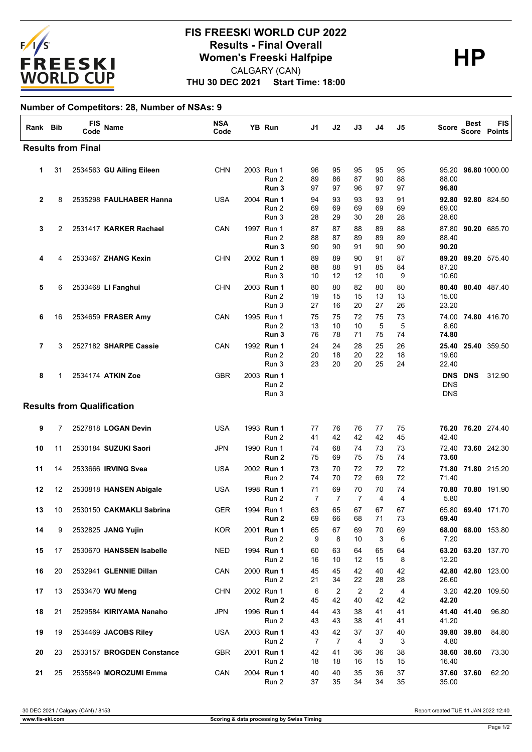

## **THU 30 DEC 2021 Start Time: 18:00 FIS FREESKI WORLD CUP 2022 Results - Final Overall<br>
Women's Freeski Halfpipe<br>
CALGARY (CAN)** CALGARY (CAN)

## **Number of Competitors: 28, Number of NSAs: 9**

| Rank Bib                  |    | FIS<br>Code                       | Name                      | <b>NSA</b><br>Code |  | YB Run                       | J1                   | J2             | J3                   | J4                   | J5             | Score                    | <b>Best</b><br><b>Score</b> | <b>FIS</b><br>Points |
|---------------------------|----|-----------------------------------|---------------------------|--------------------|--|------------------------------|----------------------|----------------|----------------------|----------------------|----------------|--------------------------|-----------------------------|----------------------|
| <b>Results from Final</b> |    |                                   |                           |                    |  |                              |                      |                |                      |                      |                |                          |                             |                      |
| 1                         | 31 |                                   | 2534563 GU Ailing Eileen  | <b>CHN</b>         |  | 2003 Run 1<br>Run 2<br>Run 3 | 96<br>89<br>97       | 95<br>86<br>97 | 95<br>87<br>96       | 95<br>90<br>97       | 95<br>88<br>97 | 95.20<br>88.00<br>96.80  |                             | 96.80 1000.00        |
| $\mathbf{2}$              | 8  |                                   | 2535298 FAULHABER Hanna   | USA                |  | 2004 Run 1<br>Run 2<br>Run 3 | 94<br>69<br>28       | 93<br>69<br>29 | 93<br>69<br>30       | 93<br>69<br>28       | 91<br>69<br>28 | 69.00<br>28.60           |                             | 92.80 92.80 824.50   |
| 3                         | 2  |                                   | 2531417 KARKER Rachael    | CAN                |  | 1997 Run 1<br>Run 2<br>Run 3 | 87<br>88<br>90       | 87<br>87<br>90 | 88<br>89<br>91       | 89<br>89<br>90       | 88<br>89<br>90 | 87.80<br>88.40<br>90.20  |                             | 90.20 685.70         |
| 4                         | 4  |                                   | 2533467 ZHANG Kexin       | <b>CHN</b>         |  | 2002 Run 1<br>Run 2<br>Run 3 | 89<br>88<br>10       | 89<br>88<br>12 | 90<br>91<br>12       | 91<br>85<br>10       | 87<br>84<br>9  | 87.20<br>10.60           |                             | 89.20 89.20 575.40   |
| 5                         | 6  |                                   | 2533468 LI Fanghui        | <b>CHN</b>         |  | 2003 Run 1<br>Run 2<br>Run 3 | 80<br>19<br>27       | 80<br>15<br>16 | 82<br>15<br>20       | 80<br>13<br>27       | 80<br>13<br>26 | 80.40<br>15.00<br>23.20  |                             | 80.40 487.40         |
| 6                         | 16 |                                   | 2534659 FRASER Amy        | CAN                |  | 1995 Run 1<br>Run 2<br>Run 3 | 75<br>13<br>76       | 75<br>10<br>78 | 72<br>10<br>71       | 75<br>5<br>75        | 73<br>5<br>74  | 8.60<br>74.80            |                             | 74.00 74.80 416.70   |
| 7                         | 3  |                                   | 2527182 SHARPE Cassie     | CAN                |  | 1992 Run 1<br>Run 2<br>Run 3 | 24<br>20<br>23       | 24<br>18<br>20 | 28<br>20<br>20       | 25<br>22<br>25       | 26<br>18<br>24 | 19.60<br>22.40           |                             | 25.40 25.40 359.50   |
| 8                         | 1  |                                   | 2534174 ATKIN Zoe         | <b>GBR</b>         |  | 2003 Run 1<br>Run 2<br>Run 3 |                      |                |                      |                      |                | <b>DNS</b><br><b>DNS</b> | <b>DNS DNS</b>              | 312.90               |
|                           |    | <b>Results from Qualification</b> |                           |                    |  |                              |                      |                |                      |                      |                |                          |                             |                      |
| 9                         | 7  |                                   | 2527818 LOGAN Devin       | <b>USA</b>         |  | 1993 Run 1<br>Run 2          | 77<br>41             | 76<br>42       | 76<br>42             | 77<br>42             | 75<br>45       | 76.20<br>42.40           |                             | 76.20 274.40         |
| 10                        | 11 |                                   | 2530184 SUZUKI Saori      | <b>JPN</b>         |  | 1990 Run 1<br>Run 2          | 74<br>75             | 68<br>69       | 74<br>75             | 73<br>75             | 73<br>74       | 72.40<br>73.60           |                             | 73.60 242.30         |
| 11                        | 14 |                                   | 2533666 IRVING Svea       | USA                |  | 2002 Run 1<br>Run 2          | 73<br>74             | 70<br>70       | 72<br>72             | 72<br>69             | 72<br>72       | 71.40                    |                             | 71.80 71.80 215.20   |
| 12                        | 12 |                                   | 2530818 HANSEN Abigale    | USA                |  | 1998 Run 1<br>Run 2          | 71<br>$\overline{7}$ | 69<br>7        | 70<br>$\overline{7}$ | 70<br>$\overline{4}$ | 74<br>4        | 5.80                     |                             | 70.80 70.80 191.90   |
| 13                        | 10 |                                   | 2530150 CAKMAKLI Sabrina  | <b>GER</b>         |  | 1994 Run 1<br>Run 2          | 63<br>69             | 65<br>66       | 67<br>68             | 67<br>71             | 67<br>73       | 69.40                    |                             | 65.80 69.40 171.70   |
| 14                        | 9  |                                   | 2532825 JANG Yujin        | KOR                |  | 2001 Run 1<br>Run 2          | 65<br>9              | 67<br>8        | 69<br>10             | 70<br>3              | 69<br>6        | 7.20                     |                             | 68.00 68.00 153.80   |
| 15                        | 17 |                                   | 2530670 HANSSEN Isabelle  | NED                |  | 1994 Run 1<br>Run 2          | 60<br>16             | 63<br>10       | 64<br>12             | 65<br>15             | 64<br>8        | 12.20                    |                             | 63.20 63.20 137.70   |
| 16                        | 20 |                                   | 2532941 GLENNIE Dillan    | CAN                |  | 2000 Run 1<br>Run 2          | 45<br>21             | 45<br>34       | 42<br>22             | 40<br>28             | 42<br>28       | 26.60                    |                             | 42.80 42.80 123.00   |
| 17                        | 13 |                                   | 2533470 WU Meng           | <b>CHN</b>         |  | 2002 Run 1<br>Run 2          | 6<br>45              | 2<br>42        | 2<br>40              | 2<br>42              | 4<br>42        | 42.20                    |                             | 3.20 42.20 109.50    |
| 18                        | 21 |                                   | 2529584 KIRIYAMA Nanaho   | <b>JPN</b>         |  | 1996 Run 1<br>Run 2          | 44<br>43             | 43<br>43       | 38<br>38             | 41<br>41             | 41<br>41       | 41.20                    | 41.40 41.40                 | 96.80                |
| 19                        | 19 |                                   | 2534469 JACOBS Riley      | USA                |  | 2003 Run 1<br>Run 2          | 43<br>$\overline{7}$ | 42<br>7        | 37<br>4              | 37<br>3              | 40<br>3        | 4.80                     | 39.80 39.80                 | 84.80                |
| 20                        | 23 |                                   | 2533157 BROGDEN Constance | GBR                |  | 2001 Run 1<br>Run 2          | 42<br>18             | 41<br>18       | 36<br>16             | 36<br>15             | 38<br>15       | 16.40                    | 38.60 38.60                 | 73.30                |
| 21                        | 25 |                                   | 2535849 MOROZUMI Emma     | CAN                |  | 2004 Run 1<br>Run 2          | 40<br>37             | 40<br>35       | 35<br>34             | 36<br>34             | 37<br>35       | 35.00                    | 37.60 37.60                 | 62.20                |

30 DEC 2021 / Calgary (CAN) / 8153 Report created TUE 11 JAN 2022 12:40